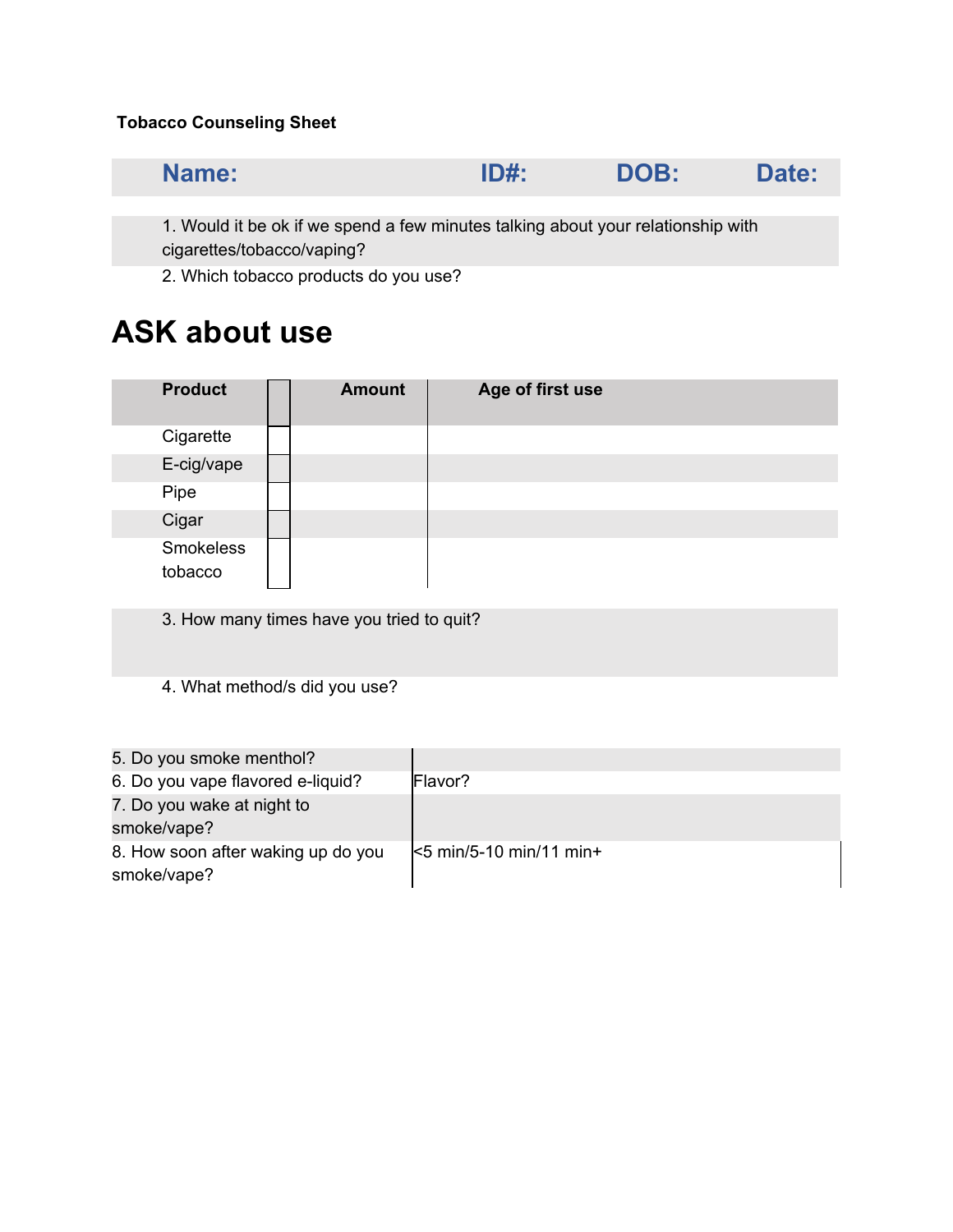#### **Tobacco Counseling Sheet**

| Name: | ID#: | DOB: | Date: |
|-------|------|------|-------|
|-------|------|------|-------|

1. Would it be ok if we spend a few minutes talking about your relationship with cigarettes/tobacco/vaping?

2. Which tobacco products do you use?

### **ASK about use**

| <b>Product</b> | <b>Amount</b> | Age of first use |
|----------------|---------------|------------------|
| Cigarette      |               |                  |
| E-cig/vape     |               |                  |
| Pipe           |               |                  |
| Cigar          |               |                  |
| Smokeless      |               |                  |
| tobacco        |               |                  |
|                |               |                  |

3. How many times have you tried to quit?

4. What method/s did you use?

| 5. Do you smoke menthol?           |                               |
|------------------------------------|-------------------------------|
| 6. Do you vape flavored e-liquid?  | Flavor?                       |
| 7. Do you wake at night to         |                               |
| smoke/vape?                        |                               |
| 8. How soon after waking up do you | $\leq$ 5 min/5-10 min/11 min+ |
| smoke/vape?                        |                               |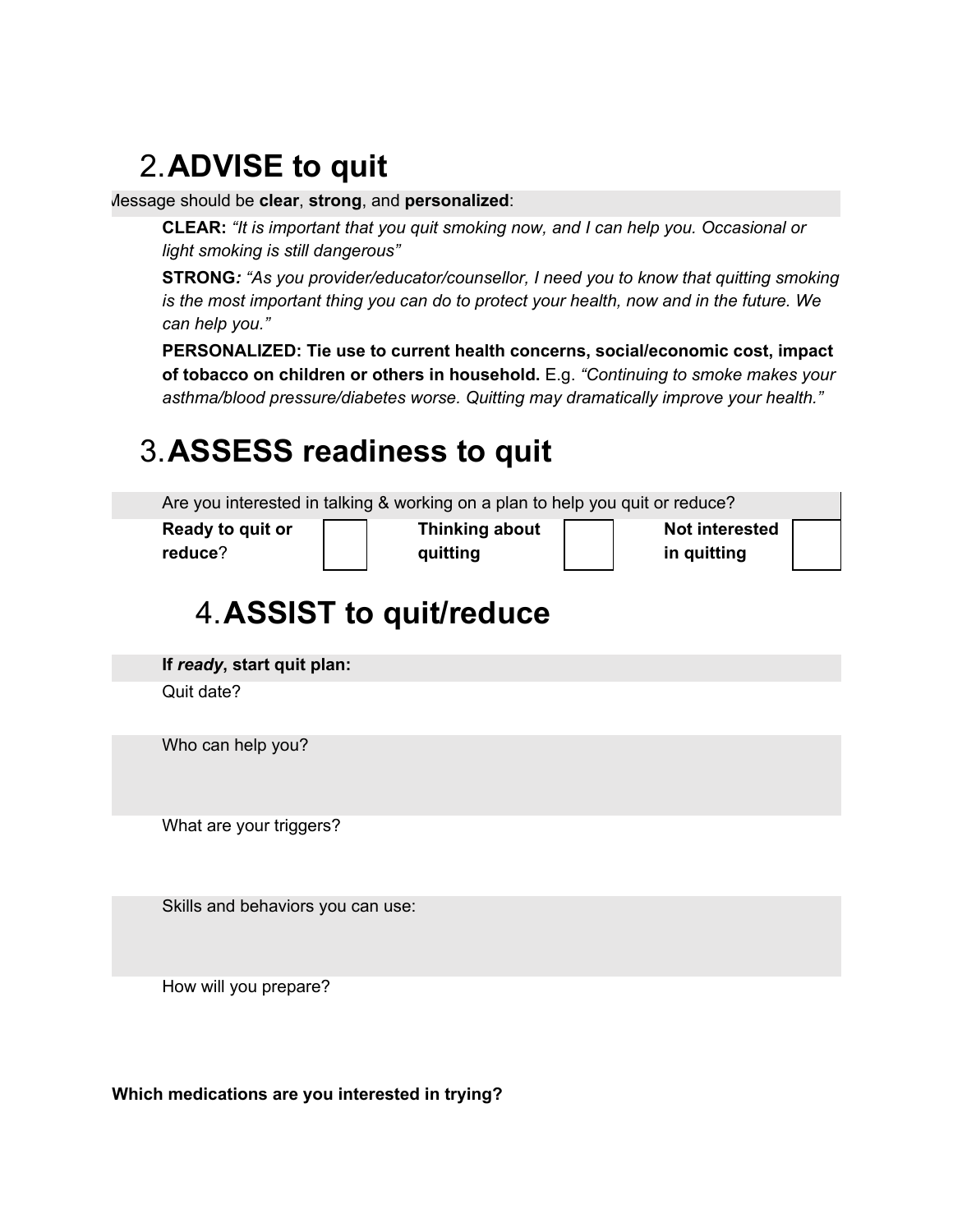## 2.**ADVISE to quit**

Message should be **clear**, **strong**, and **personalized**:

**CLEAR:** *"It is important that you quit smoking now, and I can help you. Occasional or light smoking is still dangerous"*

**STRONG***: "As you provider/educator/counsellor, I need you to know that quitting smoking is the most important thing you can do to protect your health, now and in the future. We can help you."*

**PERSONALIZED: Tie use to current health concerns, social/economic cost, impact of tobacco on children or others in household.** E.g. *"Continuing to smoke makes your asthma/blood pressure/diabetes worse. Quitting may dramatically improve your health."*

# 3.**ASSESS readiness to quit**

Are you interested in talking & working on a plan to help you quit or reduce?

**Ready to quit or reduce**?

**Thinking about quitting**

**Not interested in quitting**

# 4.**ASSIST to quit/reduce**

**If** *ready***, start quit plan:**

Quit date?

Who can help you?

What are your triggers?

Skills and behaviors you can use:

How will you prepare?

**Which medications are you interested in trying?**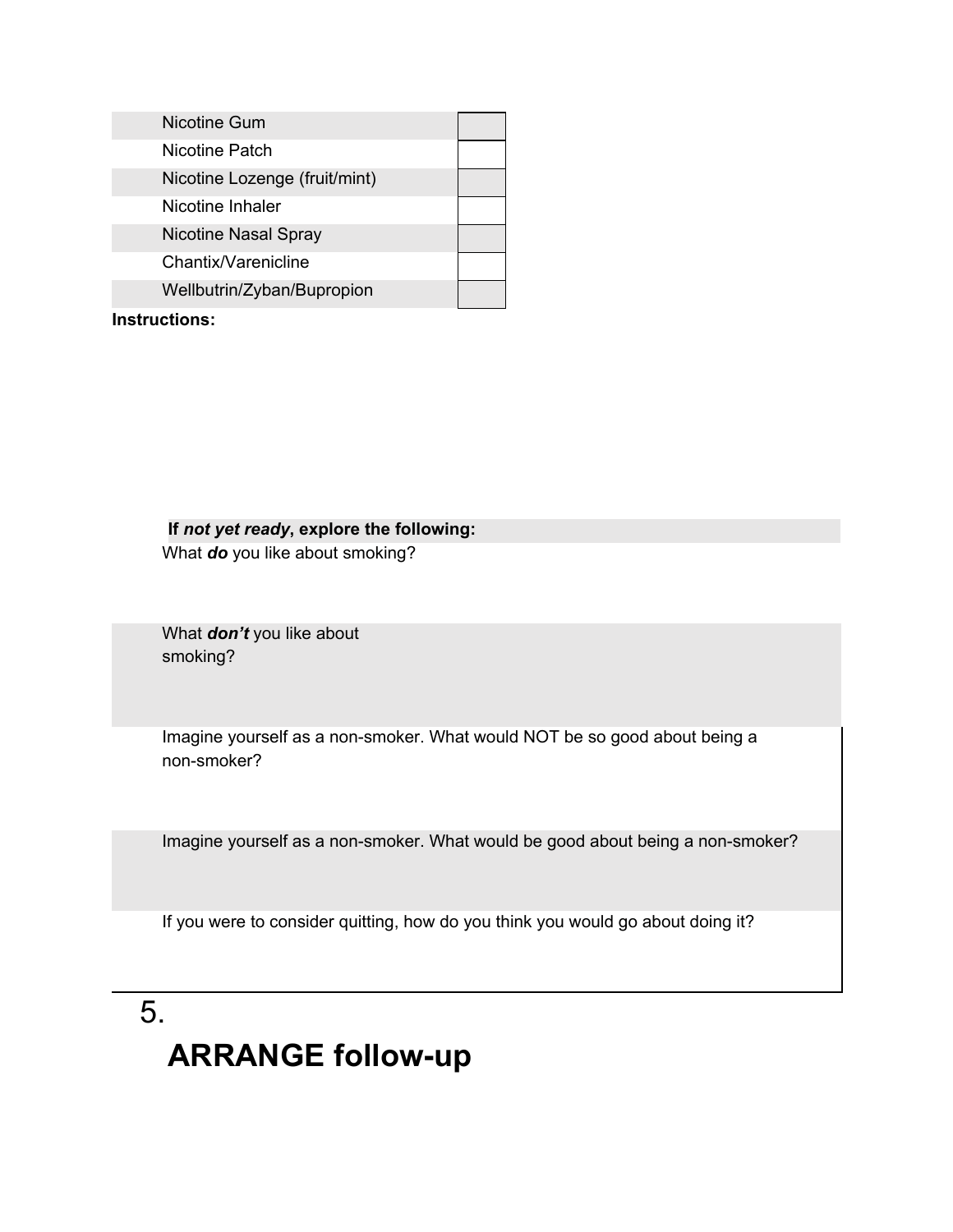| Nicotine Gum                  |  |
|-------------------------------|--|
| Nicotine Patch                |  |
| Nicotine Lozenge (fruit/mint) |  |
| Nicotine Inhaler              |  |
| Nicotine Nasal Spray          |  |
| Chantix/Varenicline           |  |
| Wellbutrin/Zyban/Bupropion    |  |
| Instructions:                 |  |

#### **If** *not yet ready***, explore the following:**

What *do* you like about smoking?

What *don't* you like about smoking?

Imagine yourself as a non-smoker. What would NOT be so good about being a non-smoker?

Imagine yourself as a non-smoker. What would be good about being a non-smoker?

If you were to consider quitting, how do you think you would go about doing it?

## 5. **ARRANGE follow-up**